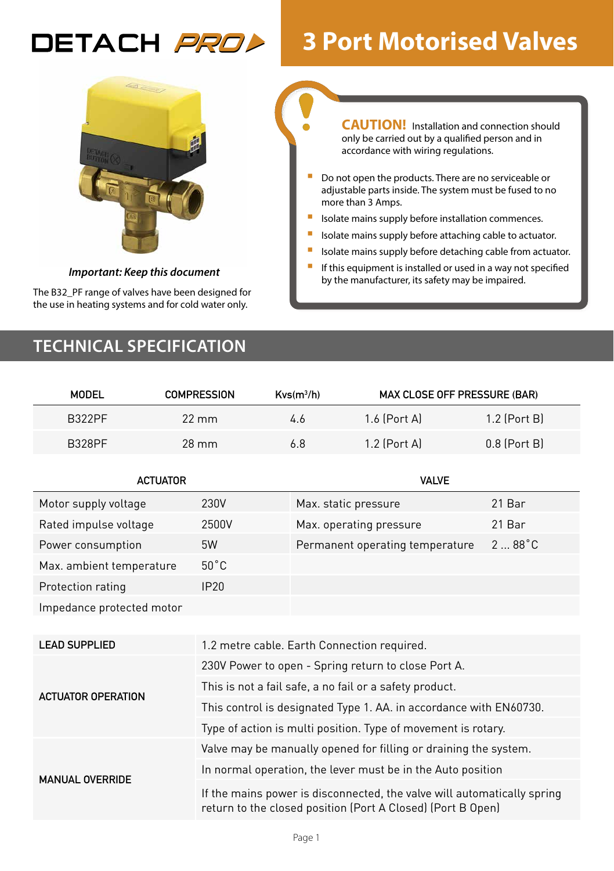# DETACH *PROL*

# **3 Port Motorised Valves**



*Important: Keep this document*

The B32\_PF range of valves have been designed for the use in heating systems and for cold water only.

**CAUTION!** Installation and connection should only be carried out by a qualified person and in accordance with wiring regulations.

- Do not open the products. There are no serviceable or adjustable parts inside. The system must be fused to no more than 3 Amps.
- **In Isolate mains supply before installation commences.**
- Isolate mains supply before attaching cable to actuator.
- **I** Isolate mains supply before detaching cable from actuator.
- **If this equipment is installed or used in a way not specified** by the manufacturer, its safety may be impaired.

# **TECHNICAL SPECIFICATION**

| <b>MODEL</b>              | <b>COMPRESSION</b>                          | Kvs(m <sup>3</sup> /h)                                                                                                                 | <b>MAX CLOSE OFF PRESSURE (BAR)</b> |                 |  |  |
|---------------------------|---------------------------------------------|----------------------------------------------------------------------------------------------------------------------------------------|-------------------------------------|-----------------|--|--|
| <b>B322PF</b>             | $22 \text{ mm}$                             | 4.6                                                                                                                                    | 1.6 (Port A)                        | $1.2$ (Port B)  |  |  |
| <b>B328PF</b>             | $28$ mm                                     | 6.8                                                                                                                                    | 1.2 (Port A)                        | $0.8$ (Port B)  |  |  |
| <b>ACTUATOR</b>           |                                             |                                                                                                                                        | <b>VALVE</b>                        |                 |  |  |
| Motor supply voltage      | 230V                                        |                                                                                                                                        | Max. static pressure                | 21 Bar          |  |  |
| Rated impulse voltage     | 2500V                                       |                                                                                                                                        | Max. operating pressure             | 21 Bar          |  |  |
| Power consumption         | 5W                                          |                                                                                                                                        | Permanent operating temperature     | $288^{\circ}$ C |  |  |
| Max. ambient temperature  | $50^{\circ}$ C                              |                                                                                                                                        |                                     |                 |  |  |
| Protection rating         | IP20                                        |                                                                                                                                        |                                     |                 |  |  |
| Impedance protected motor |                                             |                                                                                                                                        |                                     |                 |  |  |
|                           |                                             |                                                                                                                                        |                                     |                 |  |  |
| <b>LEAD SUPPLIED</b>      | 1.2 metre cable. Earth Connection required. |                                                                                                                                        |                                     |                 |  |  |
|                           |                                             | 230V Power to open - Spring return to close Port A.                                                                                    |                                     |                 |  |  |
| <b>ACTUATOR OPERATION</b> |                                             | This is not a fail safe, a no fail or a safety product.                                                                                |                                     |                 |  |  |
|                           |                                             | This control is designated Type 1. AA. in accordance with EN60730.                                                                     |                                     |                 |  |  |
|                           |                                             | Type of action is multi position. Type of movement is rotary.                                                                          |                                     |                 |  |  |
|                           |                                             | Valve may be manually opened for filling or draining the system.                                                                       |                                     |                 |  |  |
| <b>MANUAL OVERRIDE</b>    |                                             | In normal operation, the lever must be in the Auto position                                                                            |                                     |                 |  |  |
|                           |                                             | If the mains power is disconnected, the valve will automatically spring<br>return to the closed position (Port A Closed) (Port B Open) |                                     |                 |  |  |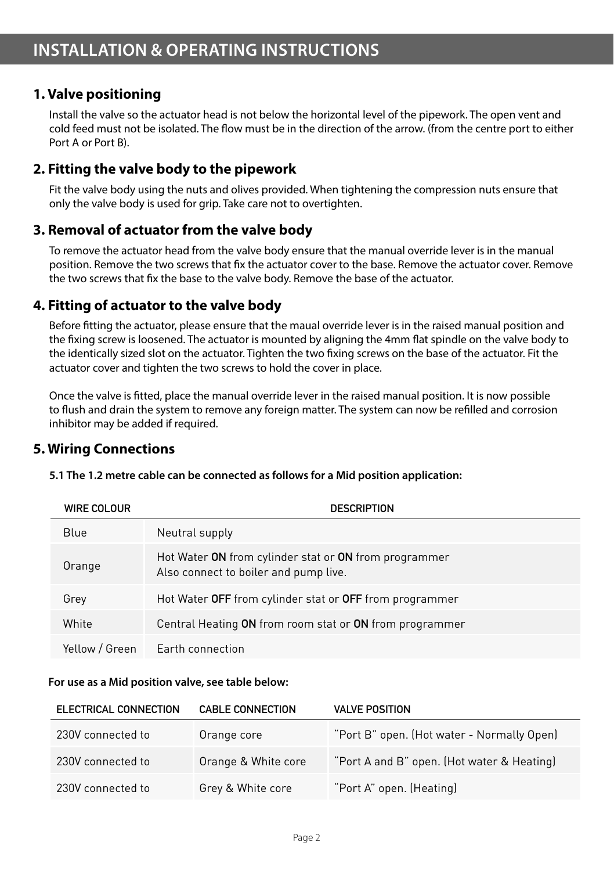# **1. Valve positioning**

Install the valve so the actuator head is not below the horizontal level of the pipework. The open vent and cold feed must not be isolated. The flow must be in the direction of the arrow. (from the centre port to either Port A or Port B).

# **2. Fitting the valve body to the pipework**

Fit the valve body using the nuts and olives provided. When tightening the compression nuts ensure that only the valve body is used for grip. Take care not to overtighten.

# **3. Removal of actuator from the valve body**

To remove the actuator head from the valve body ensure that the manual override lever is in the manual position. Remove the two screws that fix the actuator cover to the base. Remove the actuator cover. Remove the two screws that fix the base to the valve body. Remove the base of the actuator.

# **4. Fitting of actuator to the valve body**

Before fitting the actuator, please ensure that the maual override lever is in the raised manual position and the fixing screw is loosened. The actuator is mounted by aligning the 4mm flat spindle on the valve body to the identically sized slot on the actuator. Tighten the two fixing screws on the base of the actuator. Fit the actuator cover and tighten the two screws to hold the cover in place.

Once the valve is fitted, place the manual override lever in the raised manual position. It is now possible to flush and drain the system to remove any foreign matter. The system can now be refilled and corrosion inhibitor may be added if required.

# **5. Wiring Connections**

| WIRE COLOUR    | <b>DESCRIPTION</b>                                                                             |
|----------------|------------------------------------------------------------------------------------------------|
| Blue           | Neutral supply                                                                                 |
| Orange         | Hot Water ON from cylinder stat or ON from programmer<br>Also connect to boiler and pump live. |
| Grey           | Hot Water OFF from cylinder stat or OFF from programmer                                        |
| White          | Central Heating ON from room stat or ON from programmer                                        |
| Yellow / Green | <b>Earth connection</b>                                                                        |

| 5.1 The 1.2 metre cable can be connected as follows for a Mid position application: |  |
|-------------------------------------------------------------------------------------|--|
|-------------------------------------------------------------------------------------|--|

#### **For use as a Mid position valve, see table below:**

| ELECTRICAL CONNECTION | <b>CABLE CONNECTION</b> | <b>VALVE POSITION</b>                      |
|-----------------------|-------------------------|--------------------------------------------|
| 230V connected to     | Orange core             | "Port B" open. (Hot water - Normally Open) |
| 230V connected to     | Orange & White core     | "Port A and B" open. (Hot water & Heating) |
| 230V connected to     | Grey & White core       | "Port A" open. (Heating)                   |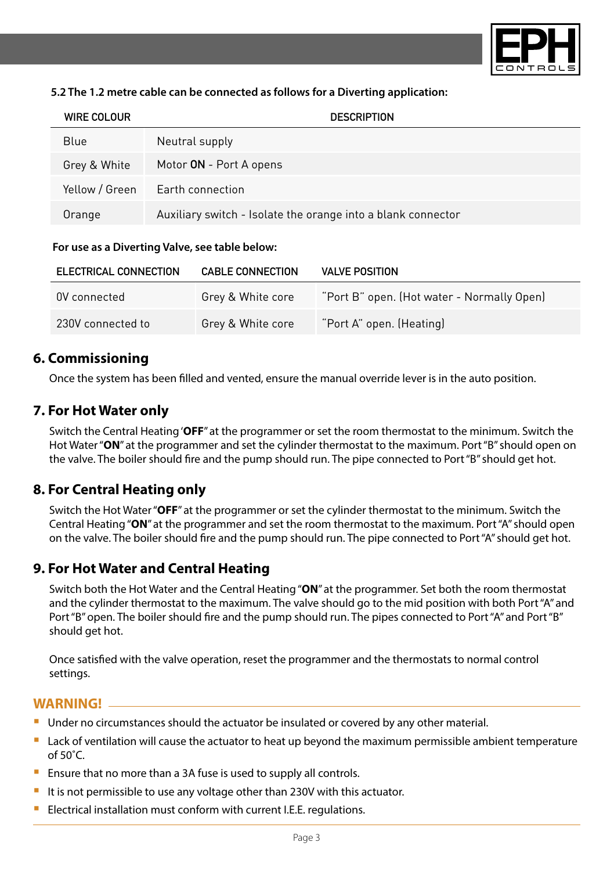

#### **5.2 The 1.2 metre cable can be connected as follows for a Diverting application:**

| WIRE COLOUR    | <b>DESCRIPTION</b>                                           |
|----------------|--------------------------------------------------------------|
| Blue           | Neutral supply                                               |
| Grey & White   | Motor ON - Port A opens                                      |
| Yellow / Green | Earth connection                                             |
| Orange         | Auxiliary switch - Isolate the orange into a blank connector |

#### **For use as a Diverting Valve, see table below:**

| ELECTRICAL CONNECTION | <b>CABLE CONNECTION</b> | <b>VALVE POSITION</b>                      |
|-----------------------|-------------------------|--------------------------------------------|
| OV connected          | Grey & White core       | "Port B" open. (Hot water - Normally Open) |
| 230V connected to     | Grey & White core       | "Port A" open. (Heating)                   |

# **6. Commissioning**

Once the system has been filled and vented, ensure the manual override lever is in the auto position.

# **7. For Hot Water only**

Switch the Central Heating '**OFF**" at the programmer or set the room thermostat to the minimum. Switch the Hot Water "**ON**" at the programmer and set the cylinder thermostat to the maximum. Port "B" should open on the valve. The boiler should fire and the pump should run. The pipe connected to Port "B" should get hot.

# **8. For Central Heating only**

Switch the Hot Water "**OFF**" at the programmer or set the cylinder thermostat to the minimum. Switch the Central Heating "**ON**" at the programmer and set the room thermostat to the maximum. Port "A" should open on the valve. The boiler should fire and the pump should run. The pipe connected to Port "A" should get hot.

### **9. For Hot Water and Central Heating**

Switch both the Hot Water and the Central Heating "**ON**" at the programmer. Set both the room thermostat and the cylinder thermostat to the maximum. The valve should go to the mid position with both Port "A" and Port "B" open. The boiler should fire and the pump should run. The pipes connected to Port "A" and Port "B" should get hot.

Once satisfied with the valve operation, reset the programmer and the thermostats to normal control settings.

#### **WARNING!**

- Under no circumstances should the actuator be insulated or covered by any other material.
- Lack of ventilation will cause the actuator to heat up beyond the maximum permissible ambient temperature of 50˚C.
- Ensure that no more than a 3A fuse is used to supply all controls.
- It is not permissible to use any voltage other than 230V with this actuator.
- Electrical installation must conform with current I.E.E. regulations.